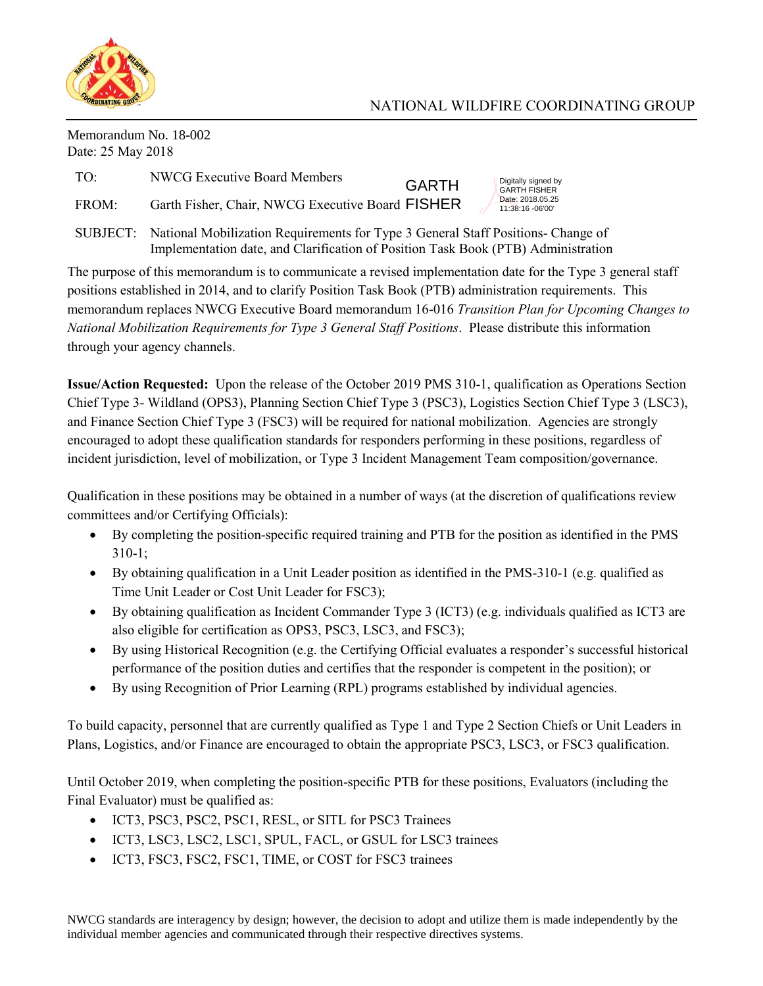

## NATIONAL WILDFIRE COORDINATING GROUP

Digitally signed by GARTH FISHER Date: 2018.05.25 11:38:16 -06'00'

Memorandum No. 18-002 Date: 25 May 2018

| TO: | NWCG Executive Board Members |  |
|-----|------------------------------|--|
|     |                              |  |

FROM: Garth Fisher, Chair, NWCG Executive Board FISHER

SUBJECT: National Mobilization Requirements for Type 3 General Staff Positions- Change of Implementation date, and Clarification of Position Task Book (PTB) Administration

 The purpose of this memorandum is to communicate a revised implementation date for the Type 3 general staff positions established in 2014, and to clarify Position Task Book (PTB) administration requirements. This memorandum replaces NWCG Executive Board memorandum 16-016 *Transition Plan for Upcoming Changes to National Mobilization Requirements for Type 3 General Staff Positions*. Please distribute this information through your agency channels.

GARTH

 **Issue/Action Requested:** Upon the release of the October 2019 PMS 310-1, qualification as Operations Section Chief Type 3- Wildland (OPS3), Planning Section Chief Type 3 (PSC3), Logistics Section Chief Type 3 (LSC3), and Finance Section Chief Type 3 (FSC3) will be required for national mobilization. Agencies are strongly encouraged to adopt these qualification standards for responders performing in these positions, regardless of incident jurisdiction, level of mobilization, or Type 3 Incident Management Team composition/governance.

Qualification in these positions may be obtained in a number of ways (at the discretion of qualifications review committees and/or Certifying Officials):

- By completing the position-specific required training and PTB for the position as identified in the PMS 310-1;
- Time Unit Leader or Cost Unit Leader for FSC3); By obtaining qualification in a Unit Leader position as identified in the PMS-310-1 (e.g. qualified as
- By obtaining qualification as Incident Commander Type 3 (ICT3) (e.g. individuals qualified as ICT3 are also eligible for certification as OPS3, PSC3, LSC3, and FSC3);
- By using Historical Recognition (e.g. the Certifying Official evaluates a responder's successful historical performance of the position duties and certifies that the responder is competent in the position); or
- By using Recognition of Prior Learning (RPL) programs established by individual agencies.

To build capacity, personnel that are currently qualified as Type 1 and Type 2 Section Chiefs or Unit Leaders in Plans, Logistics, and/or Finance are encouraged to obtain the appropriate PSC3, LSC3, or FSC3 qualification.

Until October 2019, when completing the position-specific PTB for these positions, Evaluators (including the Final Evaluator) must be qualified as:

- ICT3, PSC3, PSC2, PSC1, RESL, or SITL for PSC3 Trainees
- ICT3, LSC3, LSC2, LSC1, SPUL, FACL, or GSUL for LSC3 trainees
- ICT3, FSC3, FSC2, FSC1, TIME, or COST for FSC3 trainees